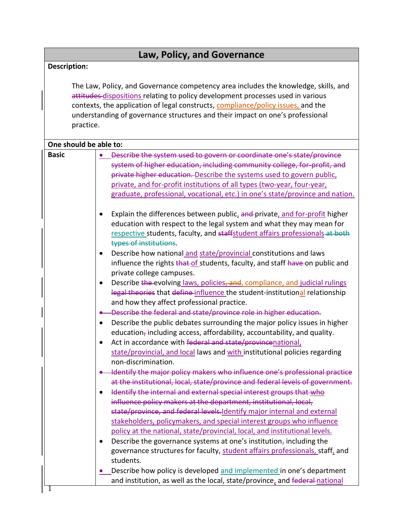| Law, Policy, and Governance                                                                                                                                                                                                                                                                                                                              |                                                                                                                                                                                                                                                                                                                                                                                                                                                                                                                                                                                                                                                                                                                                                                                                                                                                                                                                                                                                                                                                                                                                                                                                                                                                                                 |  |
|----------------------------------------------------------------------------------------------------------------------------------------------------------------------------------------------------------------------------------------------------------------------------------------------------------------------------------------------------------|-------------------------------------------------------------------------------------------------------------------------------------------------------------------------------------------------------------------------------------------------------------------------------------------------------------------------------------------------------------------------------------------------------------------------------------------------------------------------------------------------------------------------------------------------------------------------------------------------------------------------------------------------------------------------------------------------------------------------------------------------------------------------------------------------------------------------------------------------------------------------------------------------------------------------------------------------------------------------------------------------------------------------------------------------------------------------------------------------------------------------------------------------------------------------------------------------------------------------------------------------------------------------------------------------|--|
| <b>Description:</b>                                                                                                                                                                                                                                                                                                                                      |                                                                                                                                                                                                                                                                                                                                                                                                                                                                                                                                                                                                                                                                                                                                                                                                                                                                                                                                                                                                                                                                                                                                                                                                                                                                                                 |  |
| The Law, Policy, and Governance competency area includes the knowledge, skills, and<br>attitudes-dispositions relating to policy development processes used in various<br>contexts, the application of legal constructs, compliance/policy issues, and the<br>understanding of governance structures and their impact on one's professional<br>practice. |                                                                                                                                                                                                                                                                                                                                                                                                                                                                                                                                                                                                                                                                                                                                                                                                                                                                                                                                                                                                                                                                                                                                                                                                                                                                                                 |  |
| One should be able to:                                                                                                                                                                                                                                                                                                                                   |                                                                                                                                                                                                                                                                                                                                                                                                                                                                                                                                                                                                                                                                                                                                                                                                                                                                                                                                                                                                                                                                                                                                                                                                                                                                                                 |  |
| <b>Basic</b>                                                                                                                                                                                                                                                                                                                                             | Describe the system used to govern or coordinate one's state/province<br>system of higher education, including community college, for-profit, and<br>private higher education. Describe the systems used to govern public,<br>private, and for-profit institutions of all types (two-year, four-year,<br>graduate, professional, vocational, etc.) in one's state/province and nation.                                                                                                                                                                                                                                                                                                                                                                                                                                                                                                                                                                                                                                                                                                                                                                                                                                                                                                          |  |
|                                                                                                                                                                                                                                                                                                                                                          | Explain the differences between public, and private, and for-profit higher<br>education with respect to the legal system and what they may mean for<br>respective students, faculty, and staffstudent affairs professionals at both<br>types of institutions.<br>Describe how national and state/provincial constitutions and laws<br>٠<br>influence the rights that of students, faculty, and staff have on public and<br>private college campuses.<br>Describe the evolving laws, policies, and, compliance, and judicial rulings<br>$\bullet$<br>legal theories that define influence the student-institutional relationship<br>and how they affect professional practice.                                                                                                                                                                                                                                                                                                                                                                                                                                                                                                                                                                                                                   |  |
|                                                                                                                                                                                                                                                                                                                                                          | Describe the federal and state/province role in higher education.<br>Describe the public debates surrounding the major policy issues in higher<br>$\bullet$<br>education, including access, affordability, accountability, and quality.<br>Act in accordance with federal and state/provincenational,<br>state/provincial, and local laws and with institutional policies regarding<br>non-discrimination.<br>Identify the major policy makers who influence one's professional practice<br>at the institutional, local, state/province and federal levels of government.<br>Identify the internal and external special interest groups that who<br>$\bullet$<br>influence policy makers at the department, institutional, local,<br>state/province, and federal levels. Identify major internal and external<br>stakeholders, policymakers, and special interest groups who influence<br>policy at the national, state/provincial, local, and institutional levels.<br>Describe the governance systems at one's institution, including the<br>governance structures for faculty, student affairs professionals, staff, and<br>students.<br>Describe how policy is developed and implemented in one's department<br>and institution, as well as the local, state/province, and federal national |  |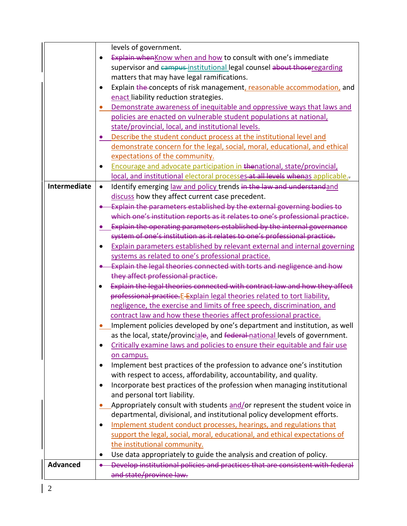|                     | levels of government.                                                                   |
|---------------------|-----------------------------------------------------------------------------------------|
|                     | Explain whenKnow when and how to consult with one's immediate                           |
|                     | supervisor and campus-institutional legal counsel about thoseregarding                  |
|                     | matters that may have legal ramifications.                                              |
|                     | Explain the concepts of risk management, reasonable accommodation, and<br>$\bullet$     |
|                     | enact liability reduction strategies.                                                   |
|                     | Demonstrate awareness of inequitable and oppressive ways that laws and                  |
|                     | policies are enacted on vulnerable student populations at national,                     |
|                     | state/provincial, local, and institutional levels.                                      |
|                     | Describe the student conduct process at the institutional level and                     |
|                     | demonstrate concern for the legal, social, moral, educational, and ethical              |
|                     | expectations of the community.                                                          |
|                     | Encourage and advocate participation in thenational, state/provincial,                  |
|                     | local, and institutional electoral processes-at all levels whenas applicable.-          |
| <b>Intermediate</b> | Identify emerging law and policy trends in the law and understandand<br>$\bullet$       |
|                     | discuss how they affect current case precedent.                                         |
|                     | Explain the parameters established by the external governing bodies to                  |
|                     | which one's institution reports as it relates to one's professional practice.           |
|                     | Explain the operating parameters established by the internal governance                 |
|                     | system of one's institution as it relates to one's professional practice.               |
|                     | Explain parameters established by relevant external and internal governing              |
|                     | systems as related to one's professional practice.                                      |
|                     | . Explain the legal theories connected with torts and negligence and how                |
|                     | they affect professional practice.                                                      |
|                     | Explain the legal theories connected with contract law and how they affect<br>$\bullet$ |
|                     | professional practice. E-Explain legal theories related to tort liability,              |
|                     | negligence, the exercise and limits of free speech, discrimination, and                 |
|                     | contract law and how these theories affect professional practice.                       |
|                     | Implement policies developed by one's department and institution, as well               |
|                     | as the local, state/provinciale, and federal-national levels of government.             |
|                     | Critically examine laws and policies to ensure their equitable and fair use             |
|                     | on campus.                                                                              |
|                     | Implement best practices of the profession to advance one's institution                 |
|                     | with respect to access, affordability, accountability, and quality.                     |
|                     | Incorporate best practices of the profession when managing institutional<br>٠           |
|                     | and personal tort liability.                                                            |
|                     | Appropriately consult with students and/or represent the student voice in               |
|                     | departmental, divisional, and institutional policy development efforts.                 |
|                     | Implement student conduct processes, hearings, and regulations that<br>$\bullet$        |
|                     | support the legal, social, moral, educational, and ethical expectations of              |
|                     | the institutional community.                                                            |
|                     | Use data appropriately to guide the analysis and creation of policy.                    |
| <b>Advanced</b>     | Develop institutional policies and practices that are consistent with federal           |
|                     | and state/province law.                                                                 |